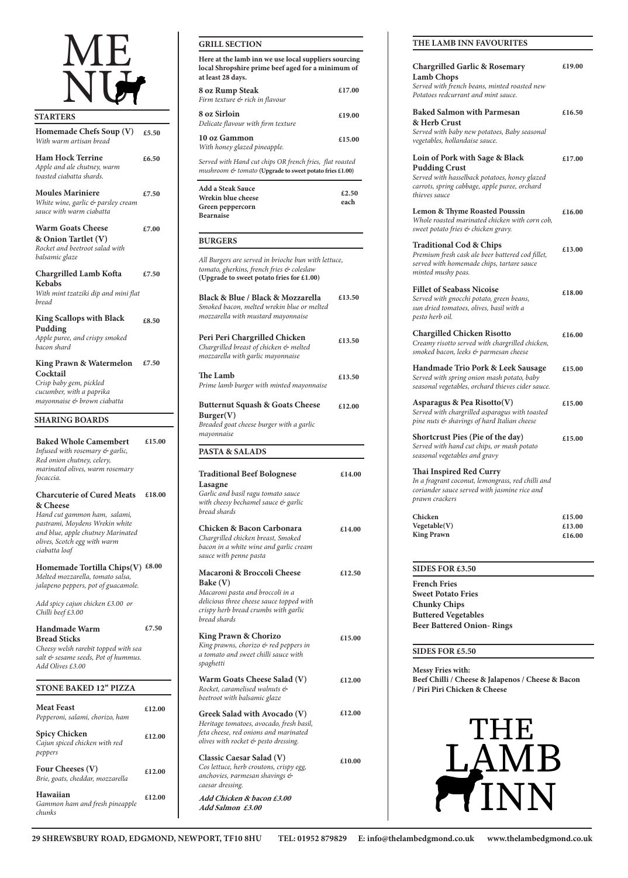# ME NU

#### **STARTERS**

*Cheesy welsh rarebit toppe salt & sesame seeds, Pot of hummus. Add Olives £3.00*

| Homemade Chefs Soup (V)<br>With warm artisan bread                                                                                            | £5.50  |
|-----------------------------------------------------------------------------------------------------------------------------------------------|--------|
| <b>Ham Hock Terrine</b><br>Apple and ale chutney, warm<br>toasted ciabatta shards.                                                            | £6.50  |
| <b>Moules Mariniere</b><br>White wine, garlic & parsley cream<br>sauce with warm ciabatta                                                     | £7.50  |
| <b>Warm Goats Cheese</b><br>& Onion Tartlet (V)<br>Rocket and beetroot salad with<br>balsamic glaze                                           | £7.00  |
| <b>Chargrilled Lamb Kofta</b><br><b>Kebabs</b><br>With mint tzatziki dip and mini flat<br>bread                                               | £7.50  |
| <b>King Scallops with Black</b><br>Pudding<br>Apple puree, and crispy smoked<br>bacon shard                                                   | £8.50  |
| <b>King Prawn &amp; Watermelon</b><br>Cocktail<br>Crisp baby gem, pickled<br>cucumber, with a paprika<br>mayonnaise & brown ciabatta          | £7.50  |
| <b>SHARING BOARDS</b>                                                                                                                         |        |
| <b>Baked Whole Camembert</b><br>Infused with rosemary & garlic,<br>Red onion chutney, celery,<br>marinated olives, warm rosemary<br>focaccia. | £15.00 |

#### **Charcuterie of Cured Meats £18.00 & Cheese**

*Hand cut gammon ham, salami, pastrami, Moydens Wrekin white and blue, apple chutney Marinated olives, Scotch egg with warm ciabatta loaf* 

**Homemade Tortilla Chips(V) £8.00** *Melted mozzarella, tomato salsa, jalapeno peppers, pot of guacamole.*

*Add spicy cajun chicken £3.00 or Chilli beef £3.00*

| <b>Handmade Warm</b>                 | £7.50 |
|--------------------------------------|-------|
| <b>Bread Sticks</b>                  |       |
| Choosy wolsh rarohit topped with son |       |

**29 SHREWSBURY ROAD, EDGMOND, NEWPORT, TF10 8HU TEL: 01952 879829 E: info@thelambedgmond.co.uk www.thelambedgmond.co.uk**

#### **STONE BAKED 12" PIZZA**

**Spicy Chicken** *Cajun spiced chicken with red peppers*

**Meat Feast** *Pepperoni, salami, chorizo, ham* **£12.00**

**Four Cheeses (V)** *Brie, goats, cheddar, mozzarella*

**Hawaiian** *Gammon ham and fresh pineapple chunks* **£12.00**

**£12.00**

**£12.00**

#### **PASTA & SALADS**

| <b>Traditional Beef Bolognese</b>        | £14.00 |
|------------------------------------------|--------|
| Lasagne                                  |        |
| Garlic and basil ragu tomato sauce       |        |
| with cheesy bechamel sauce & garlic      |        |
| bread shards                             |        |
| Chicken & Bacon Carbonara                | £14.00 |
| Chargrilled chicken breast, Smoked       |        |
| bacon in a white wine and garlic cream   |        |
| sauce with penne pasta                   |        |
| <b>Macaroni &amp; Broccoli Cheese</b>    | £12.50 |
| <b>Bake</b> (V)                          |        |
| Macaroni pasta and broccoli in a         |        |
| delicious three cheese sauce topped with |        |
| crispy herb bread crumbs with garlic     |        |
| bread shards                             |        |
| <b>King Prawn &amp; Chorizo</b>          | £15.00 |

*King prawns, chorizo & red peppers in a tomato and sweet chilli sauce with spaghetti* 

**Warm Goats Cheese Salad (V)** *Rocket, caramelised walnuts & beetroot with balsamic glaze*

**Greek Salad with Avocado (V)** *Heritage tomatoes, avocado, fresh basil, feta cheese, red onions and marinated olives with rocket & pesto dressing.*

**Classic Caesar Salad (V)** *Cos lettuce, herb croutons, crispy egg, anchovies, parmesan shavings & caesar dressing.* 

**Add Chicken & bacon £3.00 Add Salmon £3.00**

**£12.00**

**£12.00**

**£10.00**

#### **GRILL SECTION**

| <b>8 oz Rump Steak</b><br>Firm texture & rich in flavour                                                            | £17.00        |  |
|---------------------------------------------------------------------------------------------------------------------|---------------|--|
| <b>8 oz Sirloin</b><br>Delicate flavour with firm texture                                                           | £19.00        |  |
| 10 oz Gammon<br>With honey glazed pineapple.                                                                        | £15.00        |  |
| Served with Hand cut chips OR french fries, flat roasted<br>mushroom & tomato (Upgrade to sweet potato fries £1.00) |               |  |
| Add a Steak Sauce<br>Wrekin blue cheese<br>Green peppercorn<br>Bearnaise                                            | £2.50<br>each |  |
| <b>BURGERS</b>                                                                                                      |               |  |
| All Burgers are served in brioche bun with lettuce,<br>tomato, gherkins, french fries & coleslaw                    |               |  |

| <b>Black &amp; Blue / Black &amp; Mozzarella</b><br>Smoked bacon, melted wrekin blue or melted<br>mozzarella with mustard mayonnaise | £13.50 |
|--------------------------------------------------------------------------------------------------------------------------------------|--------|
| Peri Peri Chargrilled Chicken<br>Chargrilled breast of chicken & melted<br>mozzarella with garlic mayonnaise                         | £13.50 |
| <b>The Lamb</b><br>Prime lamb burger with minted mayonnaise                                                                          | £13.50 |
| <b>Butternut Squash &amp; Goats Cheese</b><br>Burger(V)<br>Breaded goat cheese burger with a garlic<br>mayonnaise                    | £12.00 |

**Here at the lamb inn we use local suppliers sourcing local Shropshire prime beef aged for a minimum of at least 28 days.** 

**(Upgrade to sweet potato fries for £1.00)**

**Sweet Potato Fries Chunky Chips Buttered Vegetables Beer Battered Onion- Rings**

**Messy Fries with: Beef Chilli / Cheese & Jalapenos / Cheese & Bacon / Piri Piri Chicken & Cheese**



**SIDES FOR £5.50**

| <b>French Fries</b>                                                                                                                                                       |        |
|---------------------------------------------------------------------------------------------------------------------------------------------------------------------------|--------|
| <b>SIDES FOR £3.50</b>                                                                                                                                                    |        |
|                                                                                                                                                                           |        |
| <b>King Prawn</b>                                                                                                                                                         | £16.00 |
| Vegetable(V)                                                                                                                                                              | £13.00 |
| Chicken                                                                                                                                                                   | £15.00 |
| <b>Thai Inspired Red Curry</b><br>In a fragrant coconut, lemongrass, red chilli and<br>coriander sauce served with jasmine rice and<br>prawn crackers                     |        |
| <b>Shortcrust Pies (Pie of the day)</b><br>Served with hand cut chips, or mash potato<br>seasonal vegetables and gravy                                                    | £15.00 |
| Asparagus & Pea Risotto $(V)$<br>Served with chargrilled asparagus with toasted<br>pine nuts & shavings of hard Italian cheese                                            | £15.00 |
| Handmade Trio Pork & Leek Sausage<br>Served with spring onion mash potato, baby<br>seasonal vegetables, orchard thieves cider sauce.                                      | £15.00 |
| <b>Chargilled Chicken Risotto</b><br>Creamy risotto served with chargrilled chicken,<br>smoked bacon, leeks & parmesan cheese                                             | £16.00 |
| <b>Fillet of Seabass Nicoise</b><br>Served with gnocchi potato, green beans,<br>sun dried tomatoes, olives, basil with a<br>pesto herb oil.                               | £18.00 |
| <b>Traditional Cod &amp; Chips</b><br>Premium fresh cask ale beer battered cod fillet,<br>served with homemade chips, tartare sauce<br>minted mushy peas.                 | £13.00 |
| <b>Lemon &amp; Thyme Roasted Poussin</b><br>Whole roasted marinated chicken with corn cob,<br>sweet potato fries & chicken gravy.                                         | £16.00 |
| Loin of Pork with Sage & Black<br><b>Pudding Crust</b><br>Served with hasselback potatoes, honey glazed<br>carrots, spring cabbage, apple puree, orchard<br>thieves sauce | £17.00 |
| <b>Baked Salmon with Parmesan</b><br>& Herb Crust<br>Served with baby new potatoes, Baby seasonal<br>vegetables, hollandaise sauce.                                       | £16.50 |
| <b>Chargrilled Garlic &amp; Rosemary</b><br><b>Lamb Chops</b><br>Served with french beans, minted roasted new<br>Potatoes redcurrant and mint sauce.                      | £19.00 |

#### **THE LAMB INN FAVOURITES**